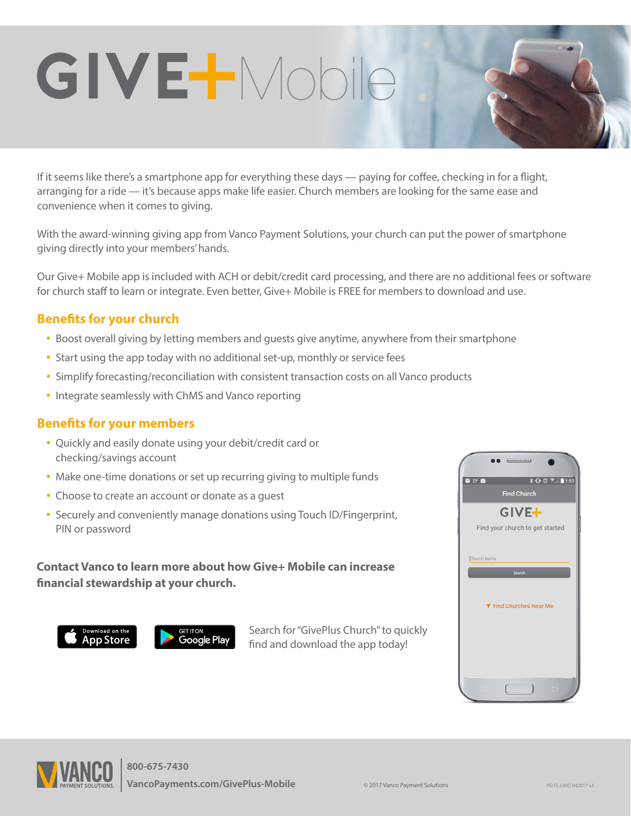If it seems like there's a smartphone app for everything these days — paying for coffee, checking in for a flight, arranging for a ride — it's because apps make life easier. Church members are looking for the same ease and convenience when it comes to giving.

With the award-winning giving app from Vanco Payment Solutions, your church can put the power of smartphone giving directly into your members' hands.

Our Give+ Mobile app is included with ACH or debit/credit card processing, and there are no additional fees or software for church staff to learn or integrate. Even better, Give+ Mobile is FREE for members to download and use.

### **Benefits for your church**

- Boost overall giving by letting members and guests give anytime, anywhere from their smartphone
- Start using the app today with no additional set-up, monthly or service fees

**GIVE** Mobile

- Simplify forecasting/reconciliation with consistent transaction costs on all Vanco products
- Integrate seamlessly with ChMS and Vanco reporting

#### **Benefits for your members**

- Quickly and easily donate using your debit/credit card or checking/savings account
- Make one-time donations or set up recurring giving to multiple funds
- Choose to create an account or donate as a guest
- Securely and conveniently manage donations using Touch ID/Fingerprint, PIN or password

### **Contact Vanco to learn more about how Give+ Mobile can increase financial stewardship at your church.**



Search for "GivePlus Church" to quickly find and download the app today!